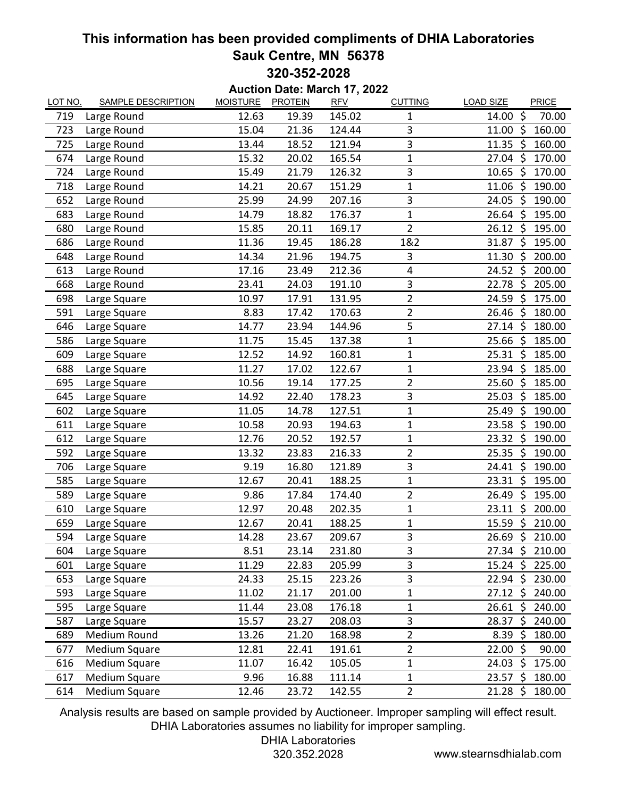## **This information has been provided compliments of DHIA Laboratories Sauk Centre, MN 56378 320-352-2028**

**Auction Date: March 17, 2022**

| LOT NO. | <b>SAMPLE DESCRIPTION</b> | <b>MOISTURE</b> | <b>PROTEIN</b> | <b>RFV</b> | <b>CUTTING</b> | <b>LOAD SIZE</b><br>PRICE         |
|---------|---------------------------|-----------------|----------------|------------|----------------|-----------------------------------|
| 719     | Large Round               | 12.63           | 19.39          | 145.02     | 1              | $\zeta$<br>70.00<br>14.00         |
| 723     | Large Round               | 15.04           | 21.36          | 124.44     | 3              | 11.00<br>\$<br>160.00             |
| 725     | Large Round               | 13.44           | 18.52          | 121.94     | 3              | $11.35 \; \zeta$<br>160.00        |
| 674     | Large Round               | 15.32           | 20.02          | 165.54     | 1              | $27.04$ \$<br>170.00              |
| 724     | Large Round               | 15.49           | 21.79          | 126.32     | 3              | 10.65<br>\$<br>170.00             |
| 718     | Large Round               | 14.21           | 20.67          | 151.29     | 1              | $11.06$ \$<br>190.00              |
| 652     | Large Round               | 25.99           | 24.99          | 207.16     | 3              | 24.05<br>\$<br>190.00             |
| 683     | Large Round               | 14.79           | 18.82          | 176.37     | $\mathbf{1}$   | $26.64$ \$<br>195.00              |
| 680     | Large Round               | 15.85           | 20.11          | 169.17     | $\overline{2}$ | $26.12 \text{ }$<br>195.00        |
| 686     | Large Round               | 11.36           | 19.45          | 186.28     | 1&2            | 31.87<br>\$<br>195.00             |
| 648     | Large Round               | 14.34           | 21.96          | 194.75     | 3              | 11.30<br>\$<br>200.00             |
| 613     | Large Round               | 17.16           | 23.49          | 212.36     | 4              | 24.52 \$<br>200.00                |
| 668     | Large Round               | 23.41           | 24.03          | 191.10     | 3              | \$<br>22.78<br>205.00             |
| 698     | Large Square              | 10.97           | 17.91          | 131.95     | $\overline{2}$ | 175.00<br>24.59<br>\$             |
| 591     | Large Square              | 8.83            | 17.42          | 170.63     | $\overline{2}$ | 26.46 \$<br>180.00                |
| 646     | Large Square              | 14.77           | 23.94          | 144.96     | 5              | 27.14<br>$\ddot{\zeta}$<br>180.00 |
| 586     | Large Square              | 11.75           | 15.45          | 137.38     | $\mathbf 1$    | 25.66 \$<br>185.00                |
| 609     | Large Square              | 12.52           | 14.92          | 160.81     | 1              | $25.31$ \$<br>185.00              |
| 688     | Large Square              | 11.27           | 17.02          | 122.67     | 1              | $23.94$ \$<br>185.00              |
| 695     | Large Square              | 10.56           | 19.14          | 177.25     | $\overline{2}$ | 185.00<br>$25.60~\text{S}$        |
| 645     | Large Square              | 14.92           | 22.40          | 178.23     | 3              | $\ddot{\phi}$<br>25.03<br>185.00  |
| 602     | Large Square              | 11.05           | 14.78          | 127.51     | $\overline{1}$ | \$<br>190.00<br>25.49             |
| 611     | Large Square              | 10.58           | 20.93          | 194.63     | 1              | $23.58 \; \zeta$<br>190.00        |
| 612     | Large Square              | 12.76           | 20.52          | 192.57     | $\mathbf{1}$   | $23.32 \div$<br>190.00            |
| 592     | Large Square              | 13.32           | 23.83          | 216.33     | $\overline{2}$ | $25.35 \; \simeq$<br>190.00       |
| 706     | Large Square              | 9.19            | 16.80          | 121.89     | 3              | 190.00<br>24.41<br>-\$            |
| 585     | Large Square              | 12.67           | 20.41          | 188.25     | 1              | $23.31$ \$<br>195.00              |
| 589     | Large Square              | 9.86            | 17.84          | 174.40     | $\overline{2}$ | 26.49<br>195.00<br>\$             |
| 610     | Large Square              | 12.97           | 20.48          | 202.35     | $\mathbf 1$    | $23.11 \; \text{S}$<br>200.00     |
| 659     | Large Square              | 12.67           | 20.41          | 188.25     | $\mathbf 1$    | Ś.<br>210.00<br>15.59             |
| 594     | Large Square              | 14.28           | 23.67          | 209.67     | 3              | 26.69 \$ 210.00                   |
| 604     | Large Square              | 8.51            | 23.14          | 231.80     | 3              | 27.34 \$ 210.00                   |
| 601     | Large Square              | 11.29           | 22.83          | 205.99     | 3              | $15.24 \; \text{S}$<br>225.00     |
| 653     | Large Square              | 24.33           | 25.15          | 223.26     | 3              | 22.94 \$ 230.00                   |
| 593     | Large Square              | 11.02           | 21.17          | 201.00     | 1              | $27.12 \text{ }$<br>240.00        |
| 595     | Large Square              | 11.44           | 23.08          | 176.18     | $\mathbf{1}$   | $26.61 \; \simeq$<br>240.00       |
| 587     | Large Square              | 15.57           | 23.27          | 208.03     | 3              | $28.37 \;$ \$<br>240.00           |
| 689     | Medium Round              | 13.26           | 21.20          | 168.98     | $\overline{2}$ | $8.39 \; \zeta$<br>180.00         |
| 677     | Medium Square             | 12.81           | 22.41          | 191.61     | $\overline{2}$ | 22.00 \$<br>90.00                 |
| 616     | Medium Square             | 11.07           | 16.42          | 105.05     | 1              | $24.03 \; \simeq$<br>175.00       |
| 617     | Medium Square             | 9.96            | 16.88          | 111.14     | $\mathbf 1$    | 23.57<br>\$<br>180.00             |
| 614     | Medium Square             | 12.46           | 23.72          | 142.55     | $\overline{2}$ | $21.28$ \$<br>180.00              |

Analysis results are based on sample provided by Auctioneer. Improper sampling will effect result. DHIA Laboratories assumes no liability for improper sampling.

DHIA Laboratories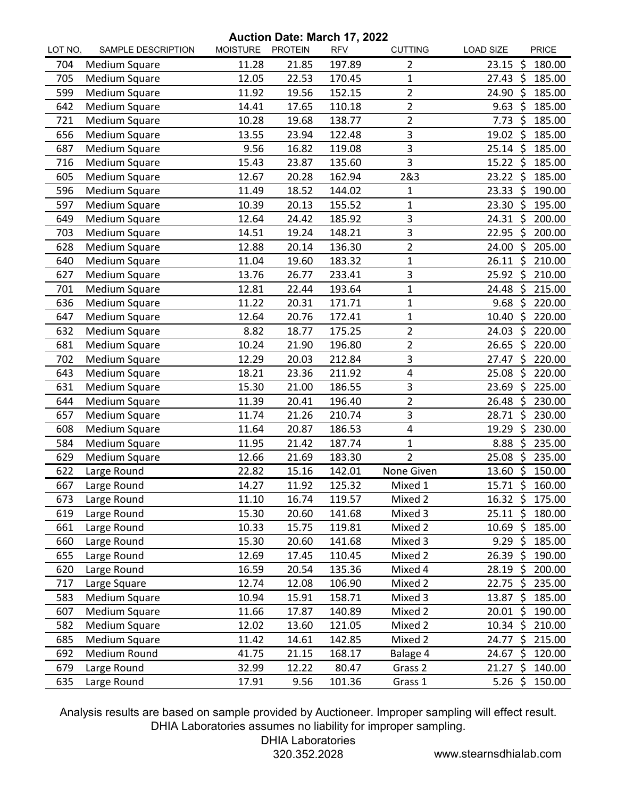## **Auction Date: March 17, 2022**

| LOT NO. | <b>SAMPLE DESCRIPTION</b> | <u>MOISTURE</u> | <b>PROTEIN</b> | Autholi Dale: Martin $\mathbf{r}$ , 2022<br><b>RFV</b> | <b>CUTTING</b> | <b>LOAD SIZE</b>    |      | PRICE  |
|---------|---------------------------|-----------------|----------------|--------------------------------------------------------|----------------|---------------------|------|--------|
| 704     | Medium Square             | 11.28           | 21.85          | 197.89                                                 | $\overline{2}$ | 23.15               | -Ŝ   | 180.00 |
| 705     | Medium Square             | 12.05           | 22.53          | 170.45                                                 | 1              | $27.43 \; \zeta$    |      | 185.00 |
| 599     | Medium Square             | 11.92           | 19.56          | 152.15                                                 | $\overline{2}$ | 24.90               | -\$  | 185.00 |
| 642     | Medium Square             | 14.41           | 17.65          | 110.18                                                 | $\overline{2}$ | 9.63                | -Ś   | 185.00 |
| 721     | Medium Square             | 10.28           | 19.68          | 138.77                                                 | $\overline{2}$ | $7.73$ \$           |      | 185.00 |
| 656     | Medium Square             | 13.55           | 23.94          | 122.48                                                 | 3              | 19.02 \$            |      | 185.00 |
| 687     | Medium Square             | 9.56            | 16.82          | 119.08                                                 | 3              | $25.14$ \$          |      | 185.00 |
| 716     | Medium Square             | 15.43           | 23.87          | 135.60                                                 | 3              | $15.22 \div$        |      | 185.00 |
| 605     | Medium Square             | 12.67           | 20.28          | 162.94                                                 | 2&3            | $23.22$ \$          |      | 185.00 |
| 596     | <b>Medium Square</b>      | 11.49           | 18.52          | 144.02                                                 | 1              | 23.33               | -\$  | 190.00 |
| 597     | Medium Square             | 10.39           | 20.13          | 155.52                                                 | 1              | 23.30 \$            |      | 195.00 |
| 649     | Medium Square             | 12.64           | 24.42          | 185.92                                                 | 3              | 24.31 \$            |      | 200.00 |
| 703     | Medium Square             | 14.51           | 19.24          | 148.21                                                 | 3              | 22.95               | Ŝ.   | 200.00 |
| 628     | Medium Square             | 12.88           | 20.14          | 136.30                                                 | $\overline{2}$ | 24.00 \$            |      | 205.00 |
| 640     | Medium Square             | 11.04           | 19.60          | 183.32                                                 | 1              | $26.11$ \$          |      | 210.00 |
| 627     | <b>Medium Square</b>      | 13.76           | 26.77          | 233.41                                                 | 3              | 25.92 \$            |      | 210.00 |
| 701     | <b>Medium Square</b>      | 12.81           | 22.44          | 193.64                                                 | 1              | 24.48               | - \$ | 215.00 |
| 636     | Medium Square             | 11.22           | 20.31          | 171.71                                                 | 1              | $9.68$ \$           |      | 220.00 |
| 647     | Medium Square             | 12.64           | 20.76          | 172.41                                                 | 1              | $10.40~\text{S}$    |      | 220.00 |
| 632     | Medium Square             | 8.82            | 18.77          | 175.25                                                 | $\overline{2}$ | 24.03               | S.   | 220.00 |
| 681     | Medium Square             | 10.24           | 21.90          | 196.80                                                 | $\overline{2}$ | $26.65$ \$          |      | 220.00 |
| 702     | Medium Square             | 12.29           | 20.03          | 212.84                                                 | 3              | $27.47 \text{ }$    |      | 220.00 |
| 643     | Medium Square             | 18.21           | 23.36          | 211.92                                                 | 4              | 25.08               | Š.   | 220.00 |
| 631     | Medium Square             | 15.30           | 21.00          | 186.55                                                 | 3              | 23.69               | Ŝ.   | 225.00 |
| 644     | Medium Square             | 11.39           | 20.41          | 196.40                                                 | $\overline{2}$ | 26.48               | \$   | 230.00 |
| 657     | Medium Square             | 11.74           | 21.26          | 210.74                                                 | 3              | 28.71               | Ŝ.   | 230.00 |
| 608     | Medium Square             | 11.64           | 20.87          | 186.53                                                 | 4              | 19.29               | - \$ | 230.00 |
| 584     | Medium Square             | 11.95           | 21.42          | 187.74                                                 | 1              | 8.88                | \$   | 235.00 |
| 629     | Medium Square             | 12.66           | 21.69          | 183.30                                                 | $\overline{2}$ | 25.08               | -Ś   | 235.00 |
| 622     | Large Round               | 22.82           | 15.16          | 142.01                                                 | None Given     | 13.60               | - \$ | 150.00 |
| 667     | Large Round               | 14.27           | 11.92          | 125.32                                                 | Mixed 1        | 15.71 \$            |      | 160.00 |
| 673     | Large Round               | 11.10           | 16.74          | 119.57                                                 | Mixed 2        | $16.32 \text{ }$    |      | 175.00 |
| 619     | Large Round               | 15.30           | 20.60          | 141.68                                                 | Mixed 3        | $25.11 \; \text{S}$ |      | 180.00 |
| 661     | Large Round               | 10.33           | 15.75          | 119.81                                                 | Mixed 2        | $10.69$ \$          |      | 185.00 |
| 660     | Large Round               | 15.30           | 20.60          | 141.68                                                 | Mixed 3        | $9.29$ \$           |      | 185.00 |
| 655     | Large Round               | 12.69           | 17.45          | 110.45                                                 | Mixed 2        | $26.39 \; \simeq$   |      | 190.00 |
| 620     | Large Round               | 16.59           | 20.54          | 135.36                                                 | Mixed 4        | $28.19 \; \simeq$   |      | 200.00 |
| 717     | Large Square              | 12.74           | 12.08          | 106.90                                                 | Mixed 2        | 22.75               | -\$  | 235.00 |
| 583     | Medium Square             | 10.94           | 15.91          | 158.71                                                 | Mixed 3        | 13.87               | \$   | 185.00 |
| 607     | Medium Square             | 11.66           | 17.87          | 140.89                                                 | Mixed 2        | $20.01$ \$          |      | 190.00 |
| 582     | Medium Square             | 12.02           | 13.60          | 121.05                                                 | Mixed 2        | $10.34 \; \zeta$    |      | 210.00 |
| 685     | Medium Square             | 11.42           | 14.61          | 142.85                                                 | Mixed 2        | 24.77               | - \$ | 215.00 |
| 692     | Medium Round              | 41.75           | 21.15          | 168.17                                                 | Balage 4       | 24.67               | \$   | 120.00 |
| 679     | Large Round               | 32.99           | 12.22          | 80.47                                                  | Grass 2        | 21.27 \$            |      | 140.00 |
| 635     | Large Round               | 17.91           | 9.56           | 101.36                                                 | Grass 1        | 5.26 \$             |      | 150.00 |

Analysis results are based on sample provided by Auctioneer. Improper sampling will effect result. DHIA Laboratories assumes no liability for improper sampling.

DHIA Laboratories

320.352.2028 www.stearnsdhialab.com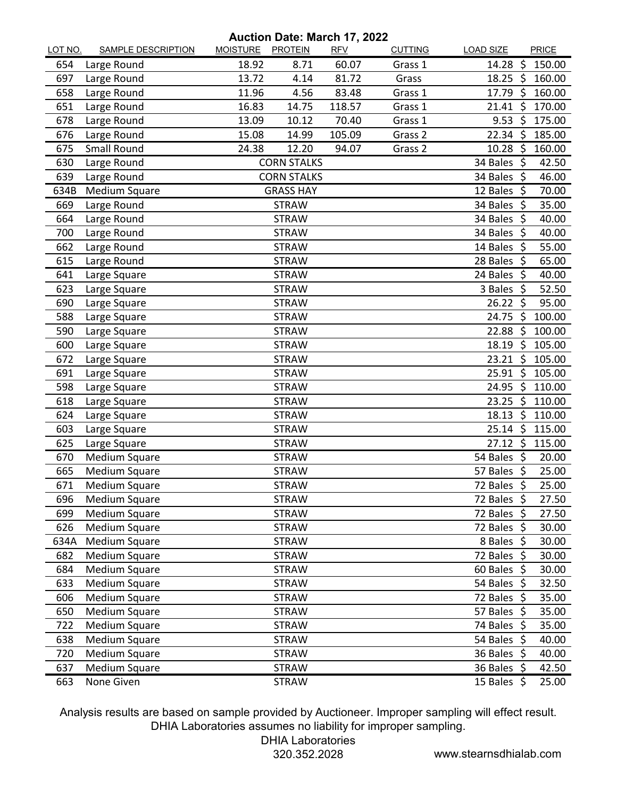## **Auction Date: March 17, 2022**

| LOT NO. | <b>SAMPLE DESCRIPTION</b> | MOISTURE PROTEIN |                    | <b>RFV</b> | <b>CUTTING</b> | <b>LOAD SIZE</b>  |     | PRICE  |
|---------|---------------------------|------------------|--------------------|------------|----------------|-------------------|-----|--------|
| 654     | Large Round               | 18.92            | 8.71               | 60.07      | Grass 1        | 14.28             | -\$ | 150.00 |
| 697     | Large Round               | 13.72            | 4.14               | 81.72      | Grass          | $18.25$ \$        |     | 160.00 |
| 658     | Large Round               | 11.96            | 4.56               | 83.48      | Grass 1        | 17.79 \$          |     | 160.00 |
| 651     | Large Round               | 16.83            | 14.75              | 118.57     | Grass 1        | $21.41$ \$        |     | 170.00 |
| 678     | Large Round               | 13.09            | 10.12              | 70.40      | Grass 1        | 9.53              | -\$ | 175.00 |
| 676     | Large Round               | 15.08            | 14.99              | 105.09     | Grass 2        | 22.34 \$          |     | 185.00 |
| 675     | Small Round               | 24.38            | 12.20              | 94.07      | Grass 2        | $10.28$ \$        |     | 160.00 |
| 630     | Large Round               |                  | <b>CORN STALKS</b> |            |                | 34 Bales \$       |     | 42.50  |
| 639     | Large Round               |                  | <b>CORN STALKS</b> |            |                | 34 Bales \$       |     | 46.00  |
| 634B    | Medium Square             |                  | <b>GRASS HAY</b>   |            |                | 12 Bales \$       |     | 70.00  |
| 669     | Large Round               |                  | <b>STRAW</b>       |            |                | 34 Bales \$       |     | 35.00  |
| 664     | Large Round               |                  | <b>STRAW</b>       |            |                | 34 Bales \$       |     | 40.00  |
| 700     | Large Round               |                  | <b>STRAW</b>       |            |                | 34 Bales \$       |     | 40.00  |
| 662     | Large Round               |                  | <b>STRAW</b>       |            |                | 14 Bales \$       |     | 55.00  |
| 615     | Large Round               |                  | <b>STRAW</b>       |            |                | 28 Bales \$       |     | 65.00  |
| 641     | Large Square              |                  | <b>STRAW</b>       |            |                | 24 Bales \$       |     | 40.00  |
| 623     | Large Square              |                  | <b>STRAW</b>       |            |                | 3 Bales \$        |     | 52.50  |
| 690     | Large Square              |                  | <b>STRAW</b>       |            |                | $26.22$ \$        |     | 95.00  |
| 588     | Large Square              |                  | <b>STRAW</b>       |            |                | 24.75 \$          |     | 100.00 |
| 590     | Large Square              |                  | <b>STRAW</b>       |            |                | 22.88             | -\$ | 100.00 |
| 600     | Large Square              |                  | <b>STRAW</b>       |            |                | $18.19 \; \simeq$ |     | 105.00 |
| 672     | Large Square              |                  | <b>STRAW</b>       |            |                | $23.21$ \$        |     | 105.00 |
| 691     | Large Square              |                  | <b>STRAW</b>       |            |                | 25.91 \$          |     | 105.00 |
| 598     | Large Square              |                  | <b>STRAW</b>       |            |                | 24.95 \$          |     | 110.00 |
| 618     | Large Square              |                  | <b>STRAW</b>       |            |                | 23.25             | -\$ | 110.00 |
| 624     | Large Square              |                  | <b>STRAW</b>       |            |                | 18.13             | -\$ | 110.00 |
| 603     | Large Square              |                  | <b>STRAW</b>       |            |                | $25.14$ \$        |     | 115.00 |
| 625     | Large Square              |                  | <b>STRAW</b>       |            |                | $27.12 \div$      |     | 115.00 |
| 670     | <b>Medium Square</b>      |                  | <b>STRAW</b>       |            |                | 54 Bales \$       |     | 20.00  |
| 665     | Medium Square             |                  | <b>STRAW</b>       |            |                | 57 Bales \$       |     | 25.00  |
| 671     | <b>Medium Square</b>      |                  | <b>STRAW</b>       |            |                | 72 Bales \$       |     | 25.00  |
| 696     | Medium Square             |                  | <b>STRAW</b>       |            |                | 72 Bales \$       |     | 27.50  |
| 699     | Medium Square             |                  | <b>STRAW</b>       |            |                | 72 Bales \$       |     | 27.50  |
| 626     | Medium Square             |                  | <b>STRAW</b>       |            |                | 72 Bales \$       |     | 30.00  |
| 634A    | Medium Square             |                  | <b>STRAW</b>       |            |                | 8 Bales \$        |     | 30.00  |
| 682     | Medium Square             |                  | <b>STRAW</b>       |            |                | 72 Bales \$       |     | 30.00  |
| 684     | Medium Square             |                  | <b>STRAW</b>       |            |                | $60$ Bales \$     |     | 30.00  |
| 633     | Medium Square             |                  | <b>STRAW</b>       |            |                | 54 Bales \$       |     | 32.50  |
| 606     | Medium Square             |                  | <b>STRAW</b>       |            |                | 72 Bales \$       |     | 35.00  |
| 650     | Medium Square             |                  | <b>STRAW</b>       |            |                | 57 Bales \$       |     | 35.00  |
| 722     | Medium Square             |                  | <b>STRAW</b>       |            |                | 74 Bales \$       |     | 35.00  |
| 638     | Medium Square             |                  | <b>STRAW</b>       |            |                | 54 Bales \$       |     | 40.00  |
| 720     | Medium Square             |                  | <b>STRAW</b>       |            |                | 36 Bales \$       |     | 40.00  |
| 637     | Medium Square             |                  | <b>STRAW</b>       |            |                | 36 Bales \$       |     | 42.50  |
| 663     | None Given                |                  | <b>STRAW</b>       |            |                | 15 Bales $\oint$  |     | 25.00  |

Analysis results are based on sample provided by Auctioneer. Improper sampling will effect result. DHIA Laboratories assumes no liability for improper sampling.

DHIA Laboratories